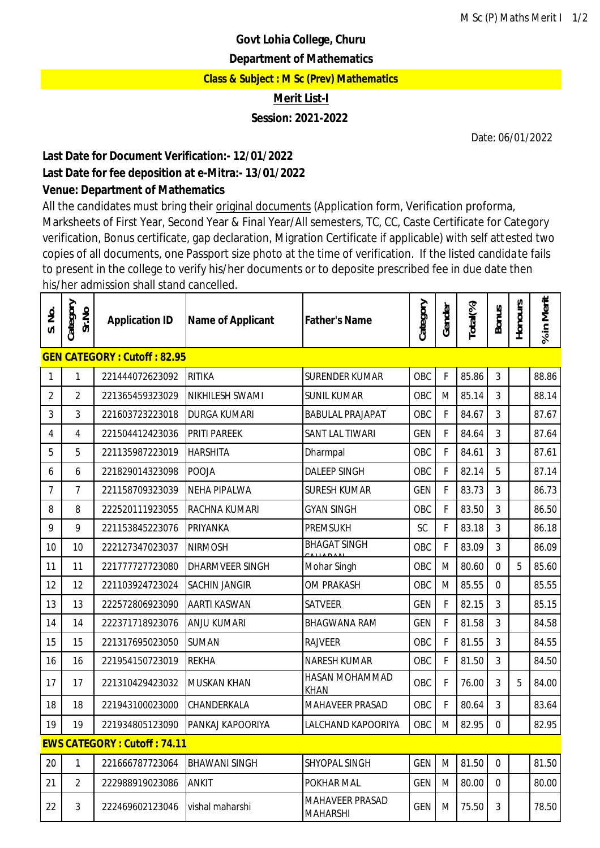# **Govt Lohia College, Churu**

#### **Department of Mathematics**

**Class & Subject : M Sc (Prev) Mathematics**

**Merit List-I**

## **Session: 2021-2022**

Date: 06/01/2022

## **Last Date for Document Verification:- 12/01/2022 Last Date for fee deposition at e-Mitra:- 13/01/2022 Venue: Department of Mathematics**

All the candidates must bring their original documents (Application form, Verification proforma, Marksheets of First Year, Second Year & Final Year/All semesters, TC, CC, Caste Certificate for Category verification, Bonus certificate, gap declaration, Migration Certificate if applicable) with self attested two copies of all documents, one Passport size photo at the time of verification. If the listed candidate fails to present in the college to verify his/her documents or to deposite prescribed fee in due date then his/her admission shall stand cancelled.

| S. No.                             | Category<br>Sr.No                  | <b>Application ID</b> | Name of Applicant      | <b>Father's Name</b>               | Category   | Gender      | Total(%) | <b>Bonus</b>   | Honours | % in Merit |  |  |
|------------------------------------|------------------------------------|-----------------------|------------------------|------------------------------------|------------|-------------|----------|----------------|---------|------------|--|--|
|                                    | <b>GEN CATEGORY: Cutoff: 82.95</b> |                       |                        |                                    |            |             |          |                |         |            |  |  |
| 1                                  | 1                                  | 221444072623092       | <b>RITIKA</b>          | <b>SURENDER KUMAR</b>              | OBC        | $\mathsf F$ | 85.86    | $\mathfrak{Z}$ |         | 88.86      |  |  |
| 2                                  | $\overline{2}$                     | 221365459323029       | NIKHILESH SWAMI        | <b>SUNIL KUMAR</b>                 | OBC        | M           | 85.14    | 3              |         | 88.14      |  |  |
| 3                                  | 3                                  | 221603723223018       | <b>DURGA KUMARI</b>    | <b>BABULAL PRAJAPAT</b>            | OBC        | F           | 84.67    | 3              |         | 87.67      |  |  |
| 4                                  | 4                                  | 221504412423036       | <b>PRITI PAREEK</b>    | SANT LAL TIWARI                    | <b>GEN</b> | F           | 84.64    | 3              |         | 87.64      |  |  |
| 5                                  | 5                                  | 221135987223019       | <b>HARSHITA</b>        | Dharmpal                           | OBC        | F           | 84.61    | 3              |         | 87.61      |  |  |
| 6                                  | 6                                  | 221829014323098       | <b>POOJA</b>           | <b>DALEEP SINGH</b>                | OBC        | F           | 82.14    | 5              |         | 87.14      |  |  |
| 7                                  | $\overline{7}$                     | 221158709323039       | <b>NEHA PIPALWA</b>    | <b>SURESH KUMAR</b>                | <b>GEN</b> | $\mathsf F$ | 83.73    | 3              |         | 86.73      |  |  |
| 8                                  | 8                                  | 222520111923055       | <b>RACHNA KUMARI</b>   | <b>GYAN SINGH</b>                  | OBC        | F           | 83.50    | 3              |         | 86.50      |  |  |
| 9                                  | 9                                  | 221153845223076       | <b>PRIYANKA</b>        | <b>PREMSUKH</b>                    | SC         | F           | 83.18    | 3              |         | 86.18      |  |  |
| 10                                 | 10                                 | 222127347023037       | <b>NIRMOSH</b>         | <b>BHAGAT SINGH</b>                | OBC        | F           | 83.09    | 3              |         | 86.09      |  |  |
| 11                                 | 11                                 | 221777727723080       | <b>DHARMVEER SINGH</b> | Mohar Singh                        | OBC        | M           | 80.60    | $\Omega$       | 5       | 85.60      |  |  |
| 12                                 | 12                                 | 221103924723024       | <b>SACHIN JANGIR</b>   | <b>OM PRAKASH</b>                  | OBC        | M           | 85.55    | $\Omega$       |         | 85.55      |  |  |
| 13                                 | 13                                 | 222572806923090       | <b>AARTI KASWAN</b>    | <b>SATVEER</b>                     | <b>GEN</b> | F           | 82.15    | 3              |         | 85.15      |  |  |
| 14                                 | 14                                 | 222371718923076       | <b>ANJU KUMARI</b>     | <b>BHAGWANA RAM</b>                | <b>GEN</b> | $\mathsf F$ | 81.58    | 3              |         | 84.58      |  |  |
| 15                                 | 15                                 | 221317695023050       | <b>SUMAN</b>           | <b>RAJVEER</b>                     | OBC        | F           | 81.55    | 3              |         | 84.55      |  |  |
| 16                                 | 16                                 | 221954150723019       | <b>REKHA</b>           | <b>NARESH KUMAR</b>                | OBC        | F           | 81.50    | 3              |         | 84.50      |  |  |
| 17                                 | 17                                 | 221310429423032       | <b>MUSKAN KHAN</b>     | HASAN MOHAMMAD<br><b>KHAN</b>      | OBC        | $\mathsf F$ | 76.00    | 3              | 5       | 84.00      |  |  |
| 18                                 | 18                                 | 221943100023000       | CHANDERKALA            | MAHAVEER PRASAD                    | OBC        | F           | 80.64    | 3              |         | 83.64      |  |  |
| 19                                 | 19                                 | 221934805123090       | PANKAJ KAPOORIYA       | LALCHAND KAPOORIYA                 | OBC        | M           | 82.95    | $\Omega$       |         | 82.95      |  |  |
| <b>EWS CATEGORY: Cutoff: 74.11</b> |                                    |                       |                        |                                    |            |             |          |                |         |            |  |  |
| 20                                 | $\mathbf{1}$                       | 221666787723064       | <b>BHAWANI SINGH</b>   | SHYOPAL SINGH                      | <b>GEN</b> | M           | 81.50    | $\mathbf 0$    |         | 81.50      |  |  |
| 21                                 | $\overline{2}$                     | 222988919023086       | <b>ANKIT</b>           | POKHAR MAL                         | <b>GEN</b> | M           | 80.00    | 0              |         | 80.00      |  |  |
| 22                                 | 3                                  | 222469602123046       | vishal maharshi        | MAHAVEER PRASAD<br><b>MAHARSHI</b> | <b>GEN</b> | M           | 75.50    | 3              |         | 78.50      |  |  |